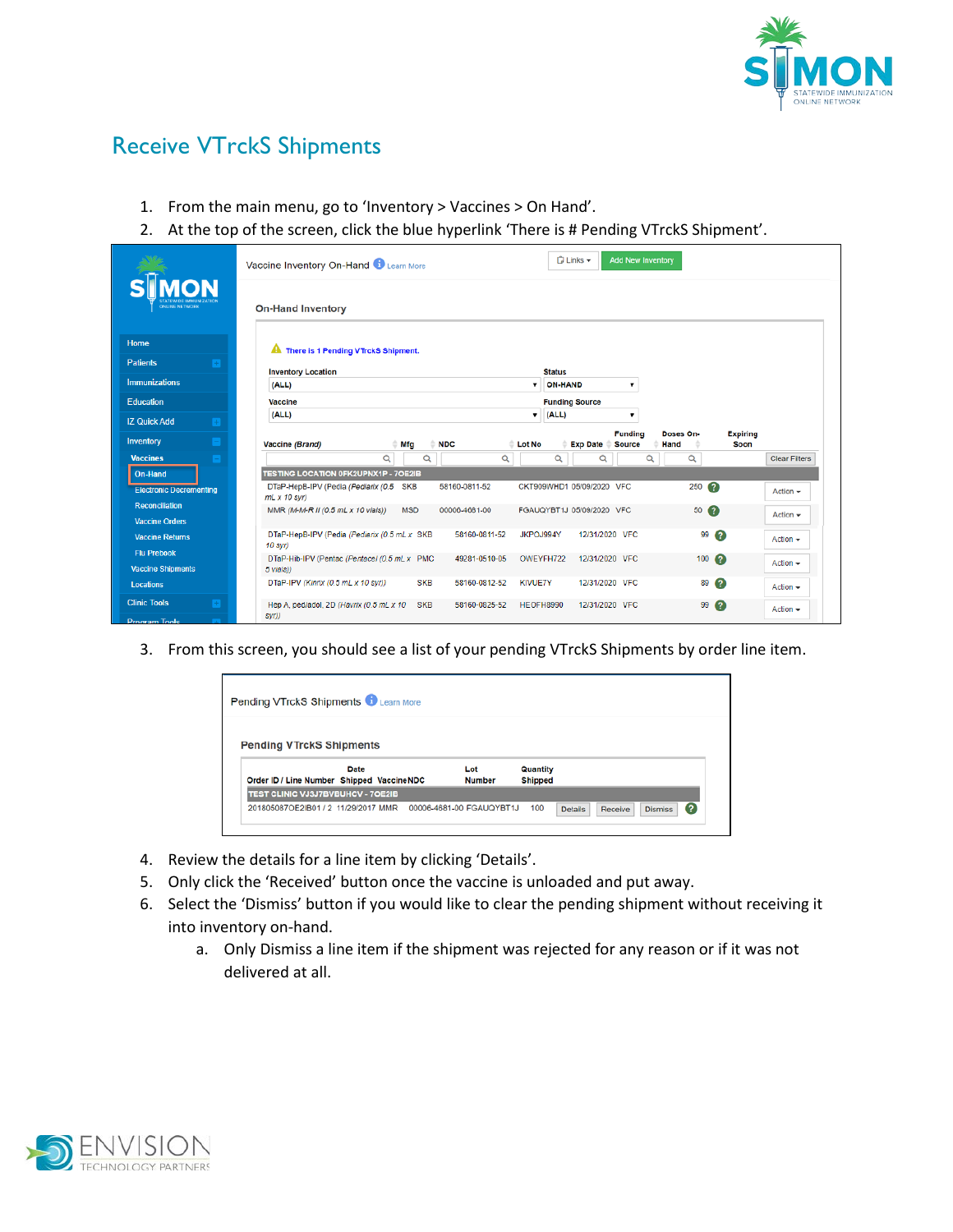

## Receive VTrckS Shipments

- 1. From the main menu, go to 'Inventory > Vaccines > On Hand'.
- 2. At the top of the screen, click the blue hyperlink 'There is # Pending VTrckS Shipment'.

|                                                          |                       | Vaccine Inventory On-Hand Learn More                           | $\bigcap$ Links $\blacktriangleright$<br><b>Add New Inventory</b> |               |                |                  |                           |                                 |   |                   |                         |                      |
|----------------------------------------------------------|-----------------------|----------------------------------------------------------------|-------------------------------------------------------------------|---------------|----------------|------------------|---------------------------|---------------------------------|---|-------------------|-------------------------|----------------------|
| <b>MON</b><br><b>ONLINE NETWORK</b>                      |                       | <b>On-Hand Inventory</b>                                       |                                                                   |               |                |                  |                           |                                 |   |                   |                         |                      |
| Home                                                     |                       | <b>A</b> There is 1 Pending VTrckS Shipment.                   |                                                                   |               |                |                  |                           |                                 |   |                   |                         |                      |
| <b>Patients</b>                                          | $\left  + \right $    | <b>Inventory Location</b>                                      |                                                                   |               |                | <b>Status</b>    |                           |                                 |   |                   |                         |                      |
| <b>Immunizations</b>                                     | (ALL)                 |                                                                |                                                                   |               |                |                  | <b>ON-HAND</b>            |                                 |   |                   |                         |                      |
| Education                                                | Vaccine               |                                                                |                                                                   |               |                |                  | <b>Funding Source</b>     |                                 |   |                   |                         |                      |
| <b>IZ Quick Add</b>                                      | (ALL)<br>$\mathbb{R}$ |                                                                |                                                                   |               |                |                  | (ALL)<br>۰.               |                                 |   |                   |                         |                      |
| Inventory                                                | E                     | Vaccine (Brand)                                                | Mfg                                                               | <b>NDC</b>    | <b>Lot No</b>  |                  | <b>Exp Date</b>           | <b>Funding</b><br><b>Source</b> |   | Doses On-<br>Hand | <b>Expiring</b><br>Soon |                      |
| <b>Vaccines</b>                                          | $\mathbf{I}$          | Q                                                              | Q                                                                 | Q             |                | $\alpha$         | Q                         |                                 | Q | $\alpha$          |                         | <b>Clear Filters</b> |
| On-Hand                                                  |                       | <b>TESTING LOCATION 0FK2UPNX1P - 7OE2IB</b>                    |                                                                   |               |                |                  |                           |                                 |   |                   |                         |                      |
| <b>Electronic Decrementing</b>                           |                       | DTaP-HepB-IPV (Pedia (Pediarix (0.5 SKB<br>$mL \times 10$ syr) |                                                                   | 58160-0811-52 |                |                  | CKT909WHD1 05/09/2020 VFC |                                 |   |                   | $250$ $\odot$           | $Action -$           |
| <b>Reconciliation</b><br><b>Vaccine Orders</b>           |                       | MMR (M-M-R II (0.5 mL x 10 vials))                             | <b>MSD</b>                                                        | 00006-4681-00 |                |                  | FGAUQYBT1J 05/09/2020 VFC |                                 |   |                   | 50Q                     | Action $\sim$        |
| <b>Vaccine Returns</b>                                   |                       | DTaP-HepB-IPV (Pedia (Pediarix (0.5 mL x SKB<br>10 syr)        |                                                                   | 58160-0811-52 | JKPOJ994Y      |                  | 12/31/2020 VFC            |                                 |   |                   | $99$ $\odot$            | Action $\sim$        |
| <b>Flu Prebook</b><br><b>Vaccine Shipments</b>           |                       | DTaP-Hib-IPV (Pentac (Pentacel (0.5 mL x PMC<br>5 vials))      |                                                                   | 49281-0510-05 |                | OWEYFH722        | 12/31/2020 VFC            |                                 |   |                   | $100$ $\odot$           | Action $\sim$        |
| Locations                                                |                       | DTaP-IPV (Kinrix (0.5 mL x 10 syr))                            | <b>SKB</b>                                                        | 58160-0812-52 | <b>KIVUE7Y</b> |                  | 12/31/2020 VFC            |                                 |   |                   | $89$ $\odot$            | Action $\sim$        |
| <b>Clinic Tools</b><br><b>Contract Contract Contract</b> | H                     | Hep A, ped/adol, 2D (Havrix (0.5 mL x 10)<br>syr))             | <b>SKB</b>                                                        | 58160-0825-52 |                | <b>HEOFH8990</b> | 12/31/2020 VFC            |                                 |   |                   | $99$ $\odot$            | Action $\sim$        |

3. From this screen, you should see a list of your pending VTrckS Shipments by order line item.

| <b>Pending VTrckS Shipments &amp; Learn More</b> |      |                          |                      |                            |                |         |                |   |  |
|--------------------------------------------------|------|--------------------------|----------------------|----------------------------|----------------|---------|----------------|---|--|
| <b>Pending VTrckS Shipments</b>                  |      |                          |                      |                            |                |         |                |   |  |
| Order ID / Line Number Shipped VaccineNDC        | Date |                          | Lot<br><b>Number</b> | Quantity<br><b>Shipped</b> |                |         |                |   |  |
| TEST CLINIC VJ3J7BVBUHCV - 70E2IB                |      |                          |                      |                            |                |         |                |   |  |
| 201805087OE2IB01 / 2 11/29/2017 MMR              |      | 00006-4681-00 FGAUQYBT1J |                      | 100                        | <b>Details</b> | Receive | <b>Dismiss</b> | ℯ |  |

- 4. Review the details for a line item by clicking 'Details'.
- 5. Only click the 'Received' button once the vaccine is unloaded and put away.
- 6. Select the 'Dismiss' button if you would like to clear the pending shipment without receiving it into inventory on-hand.
	- a. Only Dismiss a line item if the shipment was rejected for any reason or if it was not delivered at all.